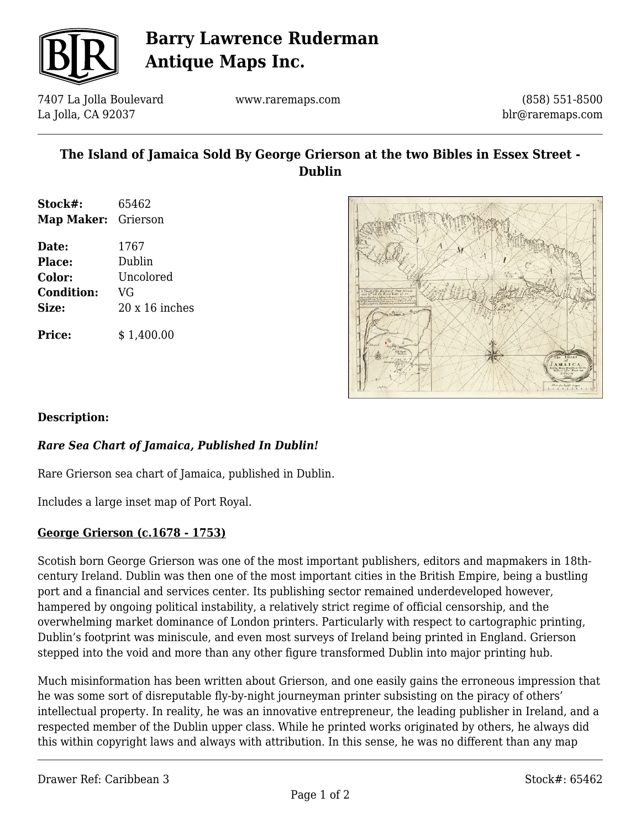

# **Barry Lawrence Ruderman Antique Maps Inc.**

7407 La Jolla Boulevard La Jolla, CA 92037

www.raremaps.com

(858) 551-8500 blr@raremaps.com

## **The Island of Jamaica Sold By George Grierson at the two Bibles in Essex Street - Dublin**

| Stock#:             | 65462 |
|---------------------|-------|
| Map Maker: Grierson |       |

**Date:** 1767 **Place:** Dublin **Color:** Uncolored **Condition:** VG **Size:** 20 x 16 inches **Price:**  $$ 1,400.00$ 

### **Description:**

### *Rare Sea Chart of Jamaica, Published In Dublin!*

Rare Grierson sea chart of Jamaica, published in Dublin.

Includes a large inset map of Port Royal.

### **George Grierson (c.1678 - 1753)**

Scotish born George Grierson was one of the most important publishers, editors and mapmakers in 18thcentury Ireland. Dublin was then one of the most important cities in the British Empire, being a bustling port and a financial and services center. Its publishing sector remained underdeveloped however, hampered by ongoing political instability, a relatively strict regime of official censorship, and the overwhelming market dominance of London printers. Particularly with respect to cartographic printing, Dublin's footprint was miniscule, and even most surveys of Ireland being printed in England. Grierson stepped into the void and more than any other figure transformed Dublin into major printing hub.

Much misinformation has been written about Grierson, and one easily gains the erroneous impression that he was some sort of disreputable fly-by-night journeyman printer subsisting on the piracy of others' intellectual property. In reality, he was an innovative entrepreneur, the leading publisher in Ireland, and a respected member of the Dublin upper class. While he printed works originated by others, he always did this within copyright laws and always with attribution. In this sense, he was no different than any map